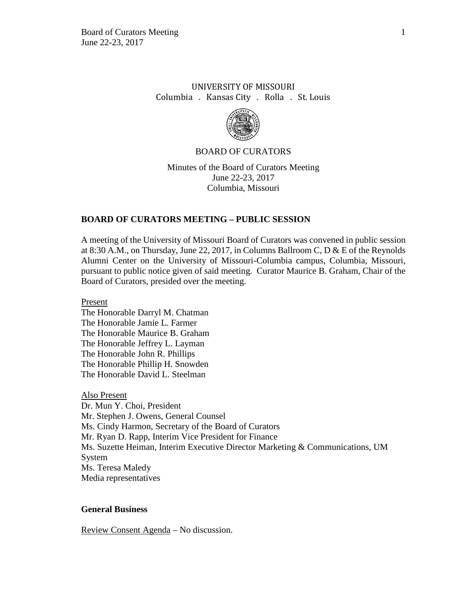# UNIVERSITY OF MISSOURI Columbia . Kansas City . Rolla . St. Louis



### BOARD OF CURATORS

Minutes of the Board of Curators Meeting June 22-23, 2017 Columbia, Missouri

# **BOARD OF CURATORS MEETING – PUBLIC SESSION**

A meeting of the University of Missouri Board of Curators was convened in public session at 8:30 A.M., on Thursday, June 22, 2017, in Columns Ballroom C, D & E of the Reynolds Alumni Center on the University of Missouri-Columbia campus, Columbia, Missouri, pursuant to public notice given of said meeting. Curator Maurice B. Graham, Chair of the Board of Curators, presided over the meeting.

Present

The Honorable Darryl M. Chatman The Honorable Jamie L. Farmer The Honorable Maurice B. Graham The Honorable Jeffrey L. Layman The Honorable John R. Phillips The Honorable Phillip H. Snowden The Honorable David L. Steelman

Also Present Dr. Mun Y. Choi, President Mr. Stephen J. Owens, General Counsel Ms. Cindy Harmon, Secretary of the Board of Curators Mr. Ryan D. Rapp, Interim Vice President for Finance Ms. Suzette Heiman, Interim Executive Director Marketing & Communications, UM System Ms. Teresa Maledy Media representatives

# **General Business**

Review Consent Agenda – No discussion.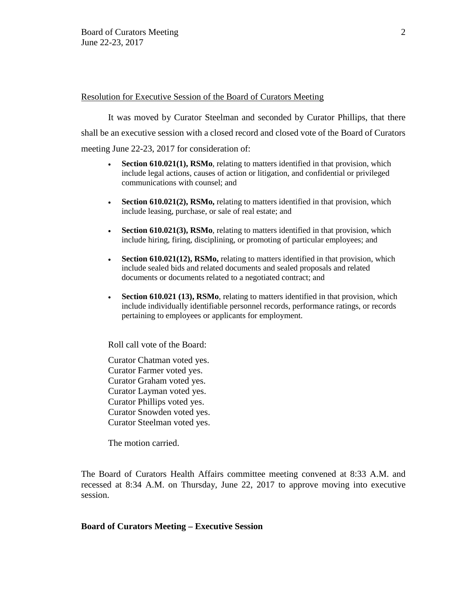## Resolution for Executive Session of the Board of Curators Meeting

It was moved by Curator Steelman and seconded by Curator Phillips, that there shall be an executive session with a closed record and closed vote of the Board of Curators meeting June 22-23, 2017 for consideration of:

- **Section 610.021(1), RSMo**, relating to matters identified in that provision, which include legal actions, causes of action or litigation, and confidential or privileged communications with counsel; and
- **Section 610.021(2), RSMo,** relating to matters identified in that provision, which include leasing, purchase, or sale of real estate; and
- **Section 610.021(3), RSMo**, relating to matters identified in that provision, which include hiring, firing, disciplining, or promoting of particular employees; and
- **Section 610.021(12), RSMo,** relating to matters identified in that provision, which include sealed bids and related documents and sealed proposals and related documents or documents related to a negotiated contract; and
- **Section 610.021 (13), RSMo**, relating to matters identified in that provision, which include individually identifiable personnel records, performance ratings, or records pertaining to employees or applicants for employment.

Roll call vote of the Board:

Curator Chatman voted yes. Curator Farmer voted yes. Curator Graham voted yes. Curator Layman voted yes. Curator Phillips voted yes. Curator Snowden voted yes. Curator Steelman voted yes.

The motion carried.

The Board of Curators Health Affairs committee meeting convened at 8:33 A.M. and recessed at 8:34 A.M. on Thursday, June 22, 2017 to approve moving into executive session.

### **Board of Curators Meeting – Executive Session**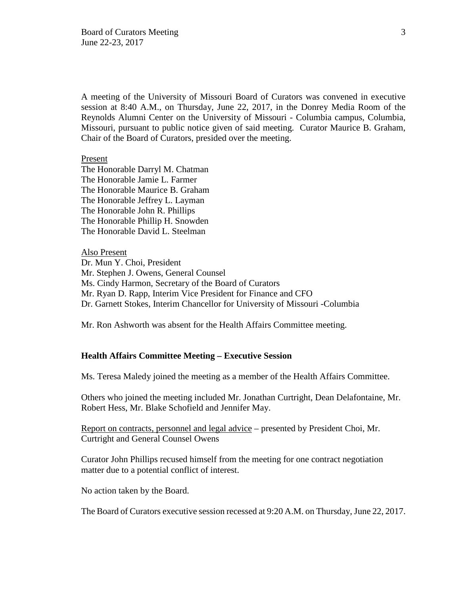A meeting of the University of Missouri Board of Curators was convened in executive session at 8:40 A.M., on Thursday, June 22, 2017, in the Donrey Media Room of the Reynolds Alumni Center on the University of Missouri - Columbia campus, Columbia, Missouri, pursuant to public notice given of said meeting. Curator Maurice B. Graham, Chair of the Board of Curators, presided over the meeting.

#### Present

The Honorable Darryl M. Chatman The Honorable Jamie L. Farmer The Honorable Maurice B. Graham The Honorable Jeffrey L. Layman The Honorable John R. Phillips The Honorable Phillip H. Snowden The Honorable David L. Steelman

Also Present Dr. Mun Y. Choi, President Mr. Stephen J. Owens, General Counsel Ms. Cindy Harmon, Secretary of the Board of Curators Mr. Ryan D. Rapp, Interim Vice President for Finance and CFO Dr. Garnett Stokes, Interim Chancellor for University of Missouri -Columbia

Mr. Ron Ashworth was absent for the Health Affairs Committee meeting.

#### **Health Affairs Committee Meeting – Executive Session**

Ms. Teresa Maledy joined the meeting as a member of the Health Affairs Committee.

Others who joined the meeting included Mr. Jonathan Curtright, Dean Delafontaine, Mr. Robert Hess, Mr. Blake Schofield and Jennifer May.

Report on contracts, personnel and legal advice – presented by President Choi, Mr. Curtright and General Counsel Owens

Curator John Phillips recused himself from the meeting for one contract negotiation matter due to a potential conflict of interest.

No action taken by the Board.

The Board of Curators executive session recessed at 9:20 A.M. on Thursday, June 22, 2017.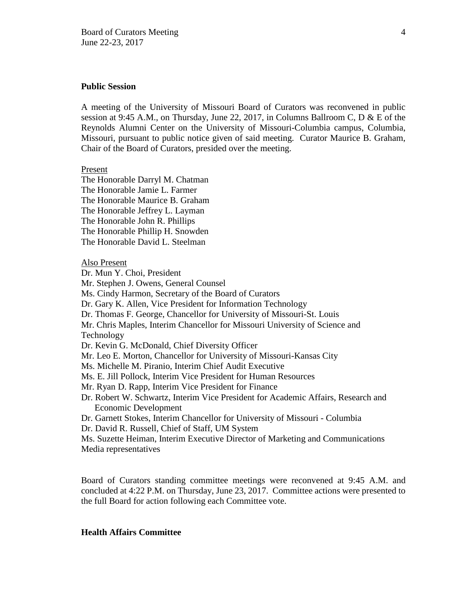#### **Public Session**

A meeting of the University of Missouri Board of Curators was reconvened in public session at 9:45 A.M., on Thursday, June 22, 2017, in Columns Ballroom C, D & E of the Reynolds Alumni Center on the University of Missouri-Columbia campus, Columbia, Missouri, pursuant to public notice given of said meeting. Curator Maurice B. Graham, Chair of the Board of Curators, presided over the meeting.

#### Present

The Honorable Darryl M. Chatman The Honorable Jamie L. Farmer The Honorable Maurice B. Graham The Honorable Jeffrey L. Layman The Honorable John R. Phillips The Honorable Phillip H. Snowden The Honorable David L. Steelman

Also Present

Dr. Mun Y. Choi, President Mr. Stephen J. Owens, General Counsel Ms. Cindy Harmon, Secretary of the Board of Curators Dr. Gary K. Allen, Vice President for Information Technology Dr. Thomas F. George, Chancellor for University of Missouri-St. Louis Mr. Chris Maples, Interim Chancellor for Missouri University of Science and Technology Dr. Kevin G. McDonald, Chief Diversity Officer Mr. Leo E. Morton, Chancellor for University of Missouri-Kansas City Ms. Michelle M. Piranio, Interim Chief Audit Executive Ms. E. Jill Pollock, Interim Vice President for Human Resources Mr. Ryan D. Rapp, Interim Vice President for Finance Dr. Robert W. Schwartz, Interim Vice President for Academic Affairs, Research and Economic Development Dr. Garnett Stokes, Interim Chancellor for University of Missouri - Columbia Dr. David R. Russell, Chief of Staff, UM System Ms. Suzette Heiman, Interim Executive Director of Marketing and Communications Media representatives

Board of Curators standing committee meetings were reconvened at 9:45 A.M. and concluded at 4:22 P.M. on Thursday, June 23, 2017. Committee actions were presented to the full Board for action following each Committee vote.

#### **Health Affairs Committee**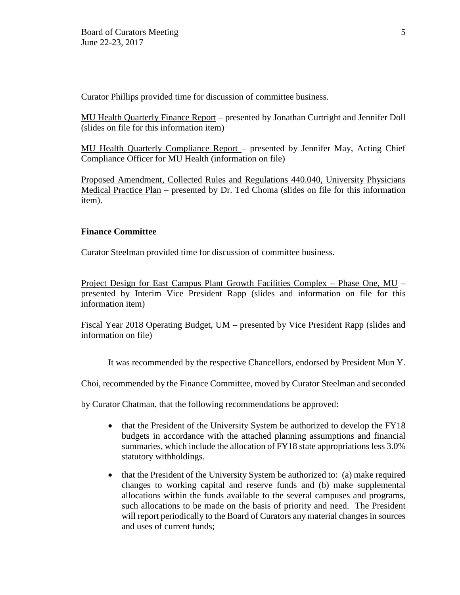Curator Phillips provided time for discussion of committee business.

MU Health Quarterly Finance Report – presented by Jonathan Curtright and Jennifer Doll (slides on file for this information item)

MU Health Quarterly Compliance Report – presented by Jennifer May, Acting Chief Compliance Officer for MU Health (information on file)

Proposed Amendment, Collected Rules and Regulations 440.040, University Physicians Medical Practice Plan – presented by Dr. Ted Choma (slides on file for this information item).

# **Finance Committee**

Curator Steelman provided time for discussion of committee business.

Project Design for East Campus Plant Growth Facilities Complex – Phase One, MU – presented by Interim Vice President Rapp (slides and information on file for this information item)

Fiscal Year 2018 Operating Budget, UM – presented by Vice President Rapp (slides and information on file)

It was recommended by the respective Chancellors, endorsed by President Mun Y.

Choi, recommended by the Finance Committee, moved by Curator Steelman and seconded

by Curator Chatman, that the following recommendations be approved:

- that the President of the University System be authorized to develop the FY18 budgets in accordance with the attached planning assumptions and financial summaries, which include the allocation of FY18 state appropriations less 3.0% statutory withholdings.
- that the President of the University System be authorized to: (a) make required changes to working capital and reserve funds and (b) make supplemental allocations within the funds available to the several campuses and programs, such allocations to be made on the basis of priority and need. The President will report periodically to the Board of Curators any material changes in sources and uses of current funds;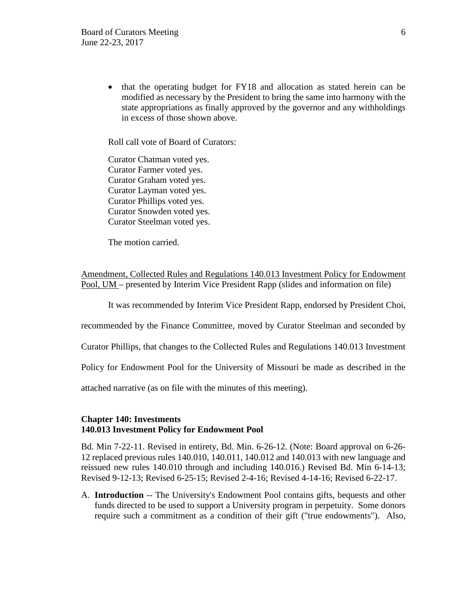• that the operating budget for FY18 and allocation as stated herein can be modified as necessary by the President to bring the same into harmony with the state appropriations as finally approved by the governor and any withholdings in excess of those shown above.

Roll call vote of Board of Curators:

Curator Chatman voted yes. Curator Farmer voted yes. Curator Graham voted yes. Curator Layman voted yes. Curator Phillips voted yes. Curator Snowden voted yes. Curator Steelman voted yes.

The motion carried.

Amendment, Collected Rules and Regulations 140.013 Investment Policy for Endowment Pool, UM – presented by Interim Vice President Rapp (slides and information on file)

It was recommended by Interim Vice President Rapp, endorsed by President Choi,

recommended by the Finance Committee, moved by Curator Steelman and seconded by

Curator Phillips, that changes to the Collected Rules and Regulations 140.013 Investment

Policy for Endowment Pool for the University of Missouri be made as described in the

attached narrative (as on file with the minutes of this meeting).

# **Chapter 140: Investments 140.013 Investment Policy for Endowment Pool**

Bd. Min 7-22-11. Revised in entirety, Bd. Min. 6-26-12. (Note: Board approval on 6-26- 12 replaced previous rules 140.010, 140.011, 140.012 and 140.013 with new language and reissued new rules 140.010 through and including 140.016.) Revised Bd. Min 6-14-13; Revised 9-12-13; Revised 6-25-15; Revised 2-4-16; Revised 4-14-16; Revised 6-22-17.

A. **Introduction** -- The University's Endowment Pool contains gifts, bequests and other funds directed to be used to support a University program in perpetuity. Some donors require such a commitment as a condition of their gift ("true endowments"). Also,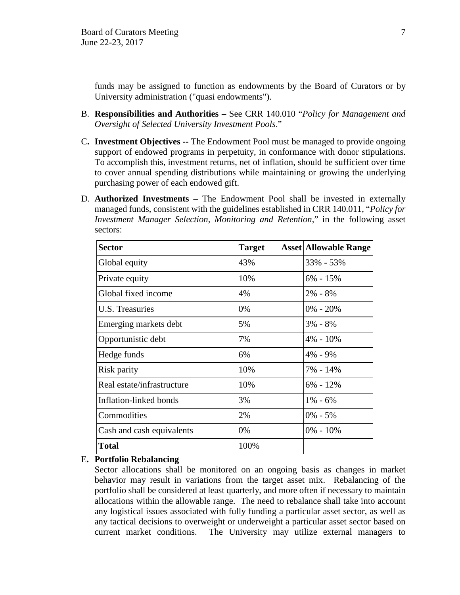funds may be assigned to function as endowments by the Board of Curators or by University administration ("quasi endowments").

- B. **Responsibilities and Authorities** See CRR 140.010 "*Policy for Management and Oversight of Selected University Investment Pools*."
- C**. Investment Objectives --** The Endowment Pool must be managed to provide ongoing support of endowed programs in perpetuity, in conformance with donor stipulations. To accomplish this, investment returns, net of inflation, should be sufficient over time to cover annual spending distributions while maintaining or growing the underlying purchasing power of each endowed gift.
- D. **Authorized Investments** The Endowment Pool shall be invested in externally managed funds, consistent with the guidelines established in CRR 140.011, "*Policy for Investment Manager Selection, Monitoring and Retention*," in the following asset sectors:

| <b>Sector</b>              | <b>Target</b> | <b>Asset Allowable Range</b> |
|----------------------------|---------------|------------------------------|
| Global equity              | 43%           | 33% - 53%                    |
| Private equity             | 10%           | $6\% - 15\%$                 |
| Global fixed income        | 4%            | $2\% - 8\%$                  |
| U.S. Treasuries            | 0%            | $0\% - 20\%$                 |
| Emerging markets debt      | 5%            | $3\% - 8\%$                  |
| Opportunistic debt         | 7%            | $4\% - 10\%$                 |
| Hedge funds                | 6%            | $4\% - 9\%$                  |
| Risk parity                | 10%           | 7% - 14%                     |
| Real estate/infrastructure | 10%           | $6\% - 12\%$                 |
| Inflation-linked bonds     | 3%            | $1\% - 6\%$                  |
| Commodities                | 2%            | $0\% - 5\%$                  |
| Cash and cash equivalents  | 0%            | $0\% - 10\%$                 |
| <b>Total</b>               | 100%          |                              |

# E**. Portfolio Rebalancing**

Sector allocations shall be monitored on an ongoing basis as changes in market behavior may result in variations from the target asset mix. Rebalancing of the portfolio shall be considered at least quarterly, and more often if necessary to maintain allocations within the allowable range. The need to rebalance shall take into account any logistical issues associated with fully funding a particular asset sector, as well as any tactical decisions to overweight or underweight a particular asset sector based on current market conditions. The University may utilize external managers to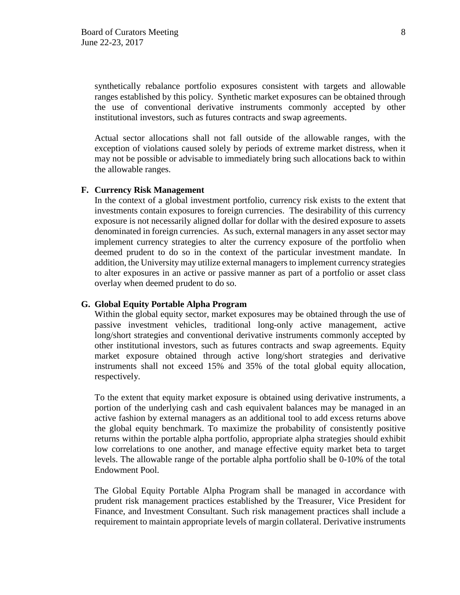synthetically rebalance portfolio exposures consistent with targets and allowable ranges established by this policy. Synthetic market exposures can be obtained through the use of conventional derivative instruments commonly accepted by other institutional investors, such as futures contracts and swap agreements.

Actual sector allocations shall not fall outside of the allowable ranges, with the exception of violations caused solely by periods of extreme market distress, when it may not be possible or advisable to immediately bring such allocations back to within the allowable ranges.

# **F. Currency Risk Management**

In the context of a global investment portfolio, currency risk exists to the extent that investments contain exposures to foreign currencies. The desirability of this currency exposure is not necessarily aligned dollar for dollar with the desired exposure to assets denominated in foreign currencies. As such, external managers in any asset sector may implement currency strategies to alter the currency exposure of the portfolio when deemed prudent to do so in the context of the particular investment mandate. In addition, the University may utilize external managers to implement currency strategies to alter exposures in an active or passive manner as part of a portfolio or asset class overlay when deemed prudent to do so.

#### **G. Global Equity Portable Alpha Program**

Within the global equity sector, market exposures may be obtained through the use of passive investment vehicles, traditional long-only active management, active long/short strategies and conventional derivative instruments commonly accepted by other institutional investors, such as futures contracts and swap agreements. Equity market exposure obtained through active long/short strategies and derivative instruments shall not exceed 15% and 35% of the total global equity allocation, respectively.

To the extent that equity market exposure is obtained using derivative instruments, a portion of the underlying cash and cash equivalent balances may be managed in an active fashion by external managers as an additional tool to add excess returns above the global equity benchmark. To maximize the probability of consistently positive returns within the portable alpha portfolio, appropriate alpha strategies should exhibit low correlations to one another, and manage effective equity market beta to target levels. The allowable range of the portable alpha portfolio shall be 0-10% of the total Endowment Pool.

The Global Equity Portable Alpha Program shall be managed in accordance with prudent risk management practices established by the Treasurer, Vice President for Finance, and Investment Consultant. Such risk management practices shall include a requirement to maintain appropriate levels of margin collateral. Derivative instruments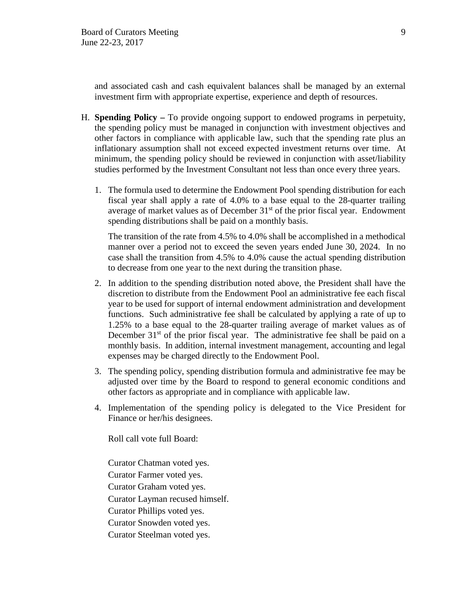and associated cash and cash equivalent balances shall be managed by an external investment firm with appropriate expertise, experience and depth of resources.

- H. **Spending Policy** To provide ongoing support to endowed programs in perpetuity, the spending policy must be managed in conjunction with investment objectives and other factors in compliance with applicable law, such that the spending rate plus an inflationary assumption shall not exceed expected investment returns over time. At minimum, the spending policy should be reviewed in conjunction with asset/liability studies performed by the Investment Consultant not less than once every three years.
	- 1. The formula used to determine the Endowment Pool spending distribution for each fiscal year shall apply a rate of 4.0% to a base equal to the 28-quarter trailing average of market values as of December  $31<sup>st</sup>$  of the prior fiscal year. Endowment spending distributions shall be paid on a monthly basis.

The transition of the rate from 4.5% to 4.0% shall be accomplished in a methodical manner over a period not to exceed the seven years ended June 30, 2024. In no case shall the transition from 4.5% to 4.0% cause the actual spending distribution to decrease from one year to the next during the transition phase.

- 2. In addition to the spending distribution noted above, the President shall have the discretion to distribute from the Endowment Pool an administrative fee each fiscal year to be used for support of internal endowment administration and development functions. Such administrative fee shall be calculated by applying a rate of up to 1.25% to a base equal to the 28-quarter trailing average of market values as of December  $31<sup>st</sup>$  of the prior fiscal year. The administrative fee shall be paid on a monthly basis. In addition, internal investment management, accounting and legal expenses may be charged directly to the Endowment Pool.
- 3. The spending policy, spending distribution formula and administrative fee may be adjusted over time by the Board to respond to general economic conditions and other factors as appropriate and in compliance with applicable law.
- 4. Implementation of the spending policy is delegated to the Vice President for Finance or her/his designees.

Roll call vote full Board:

Curator Chatman voted yes. Curator Farmer voted yes. Curator Graham voted yes. Curator Layman recused himself. Curator Phillips voted yes. Curator Snowden voted yes. Curator Steelman voted yes.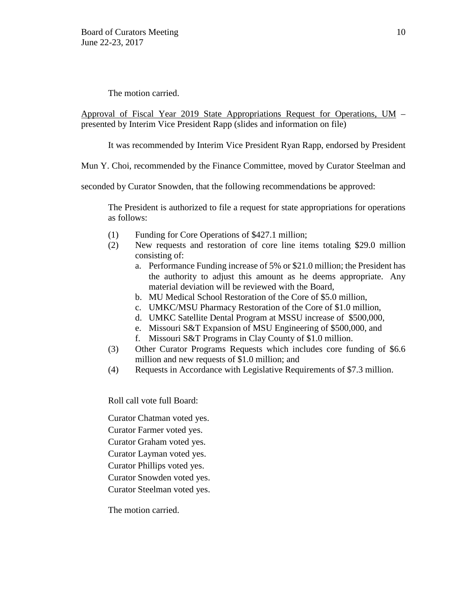The motion carried.

Approval of Fiscal Year 2019 State Appropriations Request for Operations, UM – presented by Interim Vice President Rapp (slides and information on file)

It was recommended by Interim Vice President Ryan Rapp, endorsed by President

Mun Y. Choi, recommended by the Finance Committee, moved by Curator Steelman and

seconded by Curator Snowden, that the following recommendations be approved:

The President is authorized to file a request for state appropriations for operations as follows:

- (1) Funding for Core Operations of \$427.1 million;
- (2) New requests and restoration of core line items totaling \$29.0 million consisting of:
	- a. Performance Funding increase of 5% or \$21.0 million; the President has the authority to adjust this amount as he deems appropriate. Any material deviation will be reviewed with the Board,
	- b. MU Medical School Restoration of the Core of \$5.0 million,
	- c. UMKC/MSU Pharmacy Restoration of the Core of \$1.0 million,
	- d. UMKC Satellite Dental Program at MSSU increase of \$500,000,
	- e. Missouri S&T Expansion of MSU Engineering of \$500,000, and
	- f. Missouri S&T Programs in Clay County of \$1.0 million.
- (3) Other Curator Programs Requests which includes core funding of \$6.6 million and new requests of \$1.0 million; and
- (4) Requests in Accordance with Legislative Requirements of \$7.3 million.

Roll call vote full Board:

Curator Chatman voted yes.

Curator Farmer voted yes.

Curator Graham voted yes.

Curator Layman voted yes.

Curator Phillips voted yes.

Curator Snowden voted yes.

Curator Steelman voted yes.

The motion carried.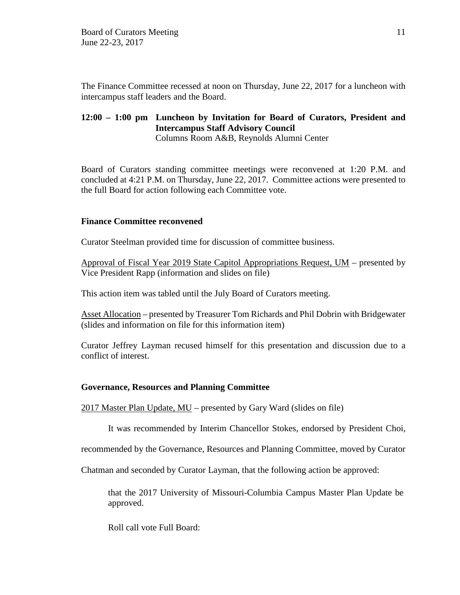The Finance Committee recessed at noon on Thursday, June 22, 2017 for a luncheon with intercampus staff leaders and the Board.

# **12:00 – 1:00 pm Luncheon by Invitation for Board of Curators, President and Intercampus Staff Advisory Council** Columns Room A&B, Reynolds Alumni Center

Board of Curators standing committee meetings were reconvened at 1:20 P.M. and concluded at 4:21 P.M. on Thursday, June 22, 2017. Committee actions were presented to the full Board for action following each Committee vote.

# **Finance Committee reconvened**

Curator Steelman provided time for discussion of committee business.

Approval of Fiscal Year 2019 State Capitol Appropriations Request, UM – presented by Vice President Rapp (information and slides on file)

This action item was tabled until the July Board of Curators meeting.

Asset Allocation – presented by Treasurer Tom Richards and Phil Dobrin with Bridgewater (slides and information on file for this information item)

Curator Jeffrey Layman recused himself for this presentation and discussion due to a conflict of interest.

# **Governance, Resources and Planning Committee**

2017 Master Plan Update, MU – presented by Gary Ward (slides on file)

It was recommended by Interim Chancellor Stokes, endorsed by President Choi,

recommended by the Governance, Resources and Planning Committee, moved by Curator

Chatman and seconded by Curator Layman, that the following action be approved:

that the 2017 University of Missouri-Columbia Campus Master Plan Update be approved.

Roll call vote Full Board: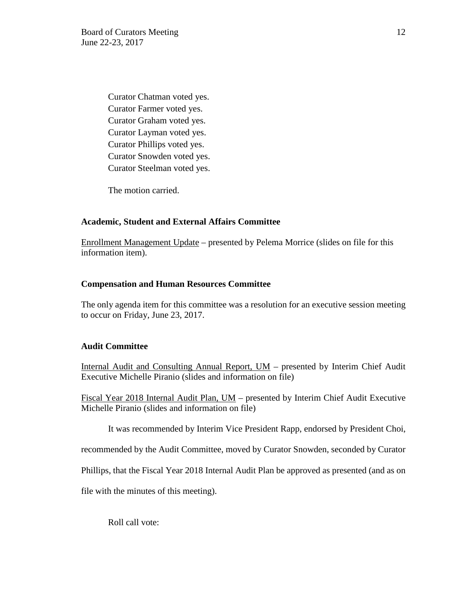Curator Chatman voted yes. Curator Farmer voted yes. Curator Graham voted yes. Curator Layman voted yes. Curator Phillips voted yes. Curator Snowden voted yes. Curator Steelman voted yes.

The motion carried.

### **Academic, Student and External Affairs Committee**

Enrollment Management Update – presented by Pelema Morrice (slides on file for this information item).

#### **Compensation and Human Resources Committee**

The only agenda item for this committee was a resolution for an executive session meeting to occur on Friday, June 23, 2017.

#### **Audit Committee**

Internal Audit and Consulting Annual Report, UM – presented by Interim Chief Audit Executive Michelle Piranio (slides and information on file)

Fiscal Year 2018 Internal Audit Plan, UM – presented by Interim Chief Audit Executive Michelle Piranio (slides and information on file)

It was recommended by Interim Vice President Rapp, endorsed by President Choi,

recommended by the Audit Committee, moved by Curator Snowden, seconded by Curator

Phillips, that the Fiscal Year 2018 Internal Audit Plan be approved as presented (and as on

file with the minutes of this meeting).

Roll call vote: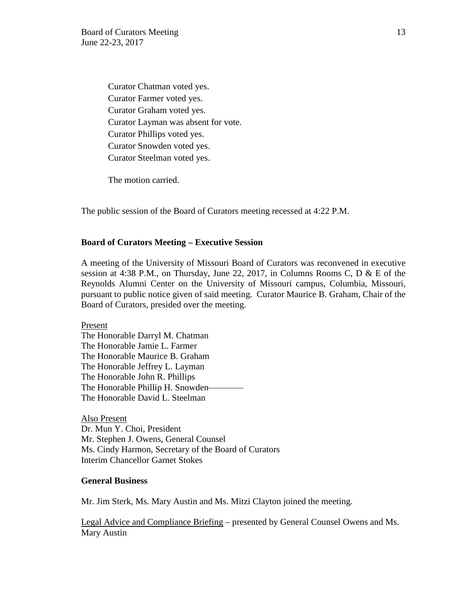Curator Chatman voted yes. Curator Farmer voted yes. Curator Graham voted yes. Curator Layman was absent for vote. Curator Phillips voted yes. Curator Snowden voted yes. Curator Steelman voted yes.

The motion carried.

The public session of the Board of Curators meeting recessed at 4:22 P.M.

#### **Board of Curators Meeting – Executive Session**

A meeting of the University of Missouri Board of Curators was reconvened in executive session at 4:38 P.M., on Thursday, June 22, 2017, in Columns Rooms C, D & E of the Reynolds Alumni Center on the University of Missouri campus, Columbia, Missouri, pursuant to public notice given of said meeting. Curator Maurice B. Graham, Chair of the Board of Curators, presided over the meeting.

Present The Honorable Darryl M. Chatman The Honorable Jamie L. Farmer The Honorable Maurice B. Graham The Honorable Jeffrey L. Layman The Honorable John R. Phillips The Honorable Phillip H. Snowden The Honorable David L. Steelman

Also Present Dr. Mun Y. Choi, President Mr. Stephen J. Owens, General Counsel Ms. Cindy Harmon, Secretary of the Board of Curators Interim Chancellor Garnet Stokes

#### **General Business**

Mr. Jim Sterk, Ms. Mary Austin and Ms. Mitzi Clayton joined the meeting.

Legal Advice and Compliance Briefing – presented by General Counsel Owens and Ms. Mary Austin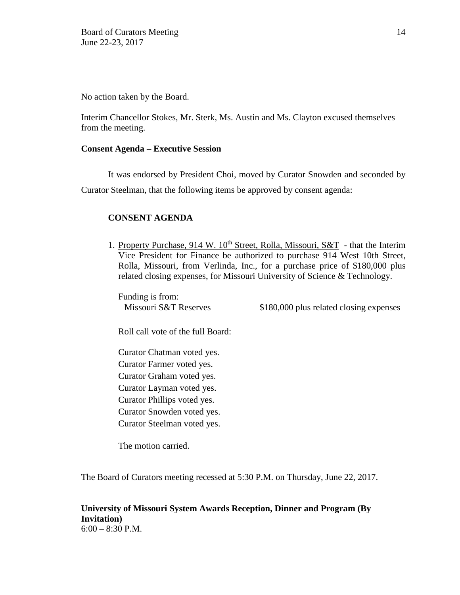No action taken by the Board.

Interim Chancellor Stokes, Mr. Sterk, Ms. Austin and Ms. Clayton excused themselves from the meeting.

# **Consent Agenda – Executive Session**

It was endorsed by President Choi, moved by Curator Snowden and seconded by Curator Steelman, that the following items be approved by consent agenda:

# **CONSENT AGENDA**

1. Property Purchase, 914 W. 10<sup>th</sup> Street, Rolla, Missouri, S&T - that the Interim Vice President for Finance be authorized to purchase 914 West 10th Street, Rolla, Missouri, from Verlinda, Inc., for a purchase price of \$180,000 plus related closing expenses, for Missouri University of Science & Technology.

Funding is from:

Missouri S&T Reserves \$180,000 plus related closing expenses

Roll call vote of the full Board:

 Curator Chatman voted yes. Curator Farmer voted yes. Curator Graham voted yes. Curator Layman voted yes. Curator Phillips voted yes. Curator Snowden voted yes. Curator Steelman voted yes.

The motion carried.

The Board of Curators meeting recessed at 5:30 P.M. on Thursday, June 22, 2017.

# **University of Missouri System Awards Reception, Dinner and Program (By Invitation)**   $6:00 - 8:30$  P.M.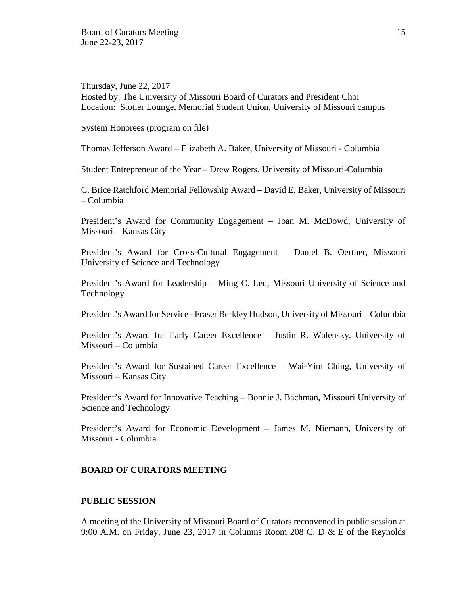Thursday, June 22, 2017 Hosted by: The University of Missouri Board of Curators and President Choi Location: Stotler Lounge, Memorial Student Union, University of Missouri campus

System Honorees (program on file)

Thomas Jefferson Award – Elizabeth A. Baker, University of Missouri - Columbia

Student Entrepreneur of the Year – Drew Rogers, University of Missouri-Columbia

C. Brice Ratchford Memorial Fellowship Award – David E. Baker, University of Missouri – Columbia

President's Award for Community Engagement – Joan M. McDowd, University of Missouri – Kansas City

President's Award for Cross-Cultural Engagement – Daniel B. Oerther, Missouri University of Science and Technology

President's Award for Leadership – Ming C. Leu, Missouri University of Science and Technology

President's Award for Service - Fraser Berkley Hudson, University of Missouri – Columbia

President's Award for Early Career Excellence – Justin R. Walensky, University of Missouri – Columbia

President's Award for Sustained Career Excellence – Wai-Yim Ching, University of Missouri – Kansas City

President's Award for Innovative Teaching – Bonnie J. Bachman, Missouri University of Science and Technology

President's Award for Economic Development – James M. Niemann, University of Missouri - Columbia

### **BOARD OF CURATORS MEETING**

# **PUBLIC SESSION**

A meeting of the University of Missouri Board of Curators reconvened in public session at 9:00 A.M. on Friday, June 23, 2017 in Columns Room 208 C, D & E of the Reynolds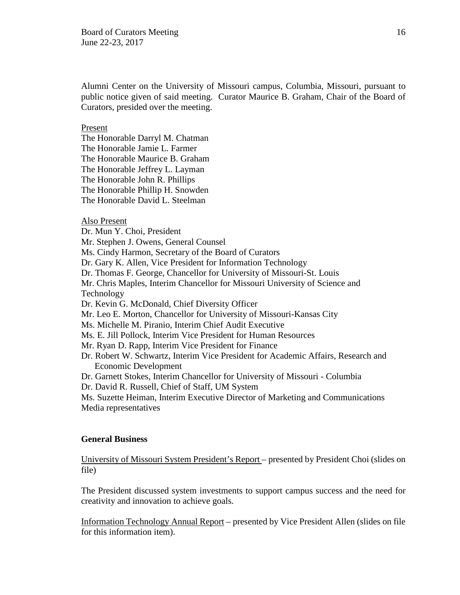Alumni Center on the University of Missouri campus, Columbia, Missouri, pursuant to public notice given of said meeting. Curator Maurice B. Graham, Chair of the Board of Curators, presided over the meeting.

# Present

The Honorable Darryl M. Chatman The Honorable Jamie L. Farmer The Honorable Maurice B. Graham The Honorable Jeffrey L. Layman The Honorable John R. Phillips The Honorable Phillip H. Snowden The Honorable David L. Steelman

### Also Present

Dr. Mun Y. Choi, President Mr. Stephen J. Owens, General Counsel Ms. Cindy Harmon, Secretary of the Board of Curators Dr. Gary K. Allen, Vice President for Information Technology Dr. Thomas F. George, Chancellor for University of Missouri-St. Louis Mr. Chris Maples, Interim Chancellor for Missouri University of Science and Technology Dr. Kevin G. McDonald, Chief Diversity Officer Mr. Leo E. Morton, Chancellor for University of Missouri-Kansas City Ms. Michelle M. Piranio, Interim Chief Audit Executive Ms. E. Jill Pollock, Interim Vice President for Human Resources Mr. Ryan D. Rapp, Interim Vice President for Finance Dr. Robert W. Schwartz, Interim Vice President for Academic Affairs, Research and Economic Development Dr. Garnett Stokes, Interim Chancellor for University of Missouri - Columbia Dr. David R. Russell, Chief of Staff, UM System Ms. Suzette Heiman, Interim Executive Director of Marketing and Communications

Media representatives

#### **General Business**

University of Missouri System President's Report – presented by President Choi (slides on file)

The President discussed system investments to support campus success and the need for creativity and innovation to achieve goals.

Information Technology Annual Report – presented by Vice President Allen (slides on file for this information item).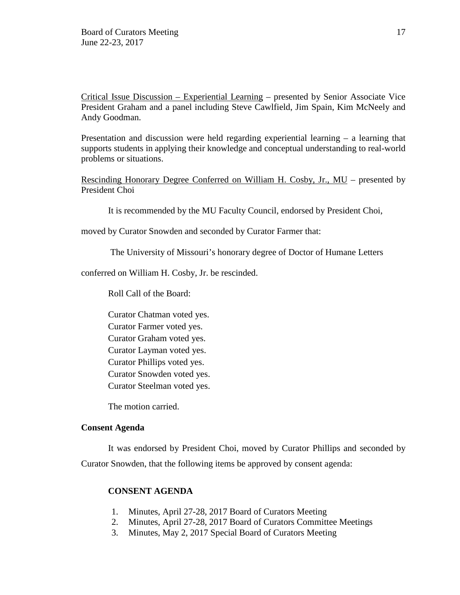Critical Issue Discussion – Experiential Learning – presented by Senior Associate Vice President Graham and a panel including Steve Cawlfield, Jim Spain, Kim McNeely and Andy Goodman.

Presentation and discussion were held regarding experiential learning – a learning that supports students in applying their knowledge and conceptual understanding to real-world problems or situations.

Rescinding Honorary Degree Conferred on William H. Cosby, Jr., MU – presented by President Choi

It is recommended by the MU Faculty Council, endorsed by President Choi,

moved by Curator Snowden and seconded by Curator Farmer that:

The University of Missouri's honorary degree of Doctor of Humane Letters

conferred on William H. Cosby, Jr. be rescinded.

Roll Call of the Board:

Curator Chatman voted yes. Curator Farmer voted yes. Curator Graham voted yes. Curator Layman voted yes. Curator Phillips voted yes. Curator Snowden voted yes. Curator Steelman voted yes.

The motion carried.

#### **Consent Agenda**

It was endorsed by President Choi, moved by Curator Phillips and seconded by Curator Snowden, that the following items be approved by consent agenda:

### **CONSENT AGENDA**

- 1. Minutes, April 27-28, 2017 Board of Curators Meeting
- 2. Minutes, April 27-28, 2017 Board of Curators Committee Meetings
- 3. Minutes, May 2, 2017 Special Board of Curators Meeting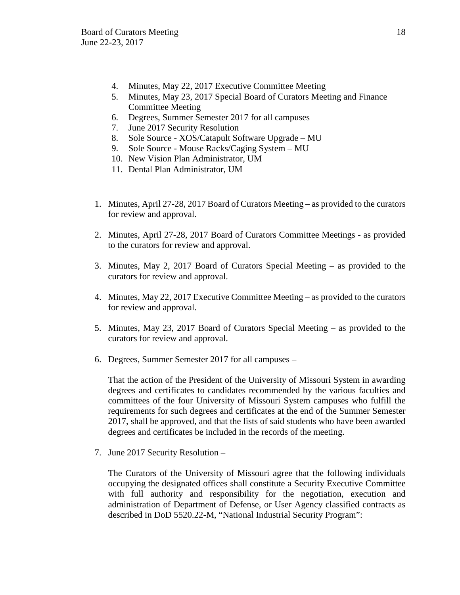- 4. Minutes, May 22, 2017 Executive Committee Meeting
- 5. Minutes, May 23, 2017 Special Board of Curators Meeting and Finance Committee Meeting
- 6. Degrees, Summer Semester 2017 for all campuses
- 7. June 2017 Security Resolution
- 8. Sole Source XOS/Catapult Software Upgrade MU
- 9. Sole Source Mouse Racks/Caging System MU
- 10. New Vision Plan Administrator, UM
- 11. Dental Plan Administrator, UM
- 1. Minutes, April 27-28, 2017 Board of Curators Meeting as provided to the curators for review and approval.
- 2. Minutes, April 27-28, 2017 Board of Curators Committee Meetings as provided to the curators for review and approval.
- 3. Minutes, May 2, 2017 Board of Curators Special Meeting as provided to the curators for review and approval.
- 4. Minutes, May 22, 2017 Executive Committee Meeting as provided to the curators for review and approval.
- 5. Minutes, May 23, 2017 Board of Curators Special Meeting as provided to the curators for review and approval.
- 6. Degrees, Summer Semester 2017 for all campuses –

That the action of the President of the University of Missouri System in awarding degrees and certificates to candidates recommended by the various faculties and committees of the four University of Missouri System campuses who fulfill the requirements for such degrees and certificates at the end of the Summer Semester 2017, shall be approved, and that the lists of said students who have been awarded degrees and certificates be included in the records of the meeting.

7. June 2017 Security Resolution –

The Curators of the University of Missouri agree that the following individuals occupying the designated offices shall constitute a Security Executive Committee with full authority and responsibility for the negotiation, execution and administration of Department of Defense, or User Agency classified contracts as described in DoD 5520.22-M, "National Industrial Security Program":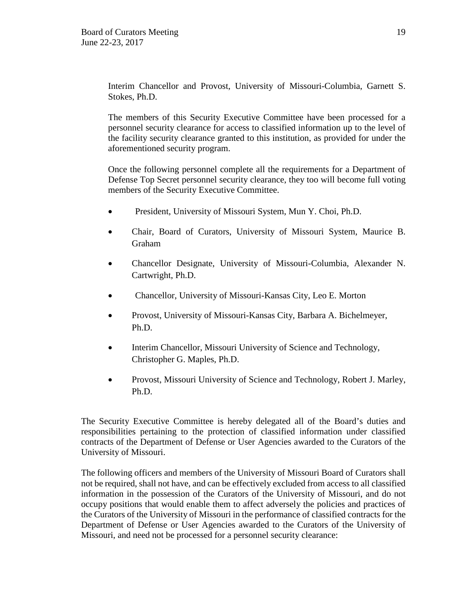Interim Chancellor and Provost, University of Missouri-Columbia, Garnett S. Stokes, Ph.D.

The members of this Security Executive Committee have been processed for a personnel security clearance for access to classified information up to the level of the facility security clearance granted to this institution, as provided for under the aforementioned security program.

Once the following personnel complete all the requirements for a Department of Defense Top Secret personnel security clearance, they too will become full voting members of the Security Executive Committee.

- President, University of Missouri System, Mun Y. Choi, Ph.D.
- Chair, Board of Curators, University of Missouri System, Maurice B. Graham
- Chancellor Designate, University of Missouri-Columbia, Alexander N. Cartwright, Ph.D.
- Chancellor, University of Missouri-Kansas City, Leo E. Morton
- Provost, University of Missouri-Kansas City, Barbara A. Bichelmeyer, Ph.D.
- Interim Chancellor, Missouri University of Science and Technology, Christopher G. Maples, Ph.D.
- Provost, Missouri University of Science and Technology, Robert J. Marley, Ph.D.

The Security Executive Committee is hereby delegated all of the Board's duties and responsibilities pertaining to the protection of classified information under classified contracts of the Department of Defense or User Agencies awarded to the Curators of the University of Missouri.

The following officers and members of the University of Missouri Board of Curators shall not be required, shall not have, and can be effectively excluded from access to all classified information in the possession of the Curators of the University of Missouri, and do not occupy positions that would enable them to affect adversely the policies and practices of the Curators of the University of Missouri in the performance of classified contracts for the Department of Defense or User Agencies awarded to the Curators of the University of Missouri, and need not be processed for a personnel security clearance: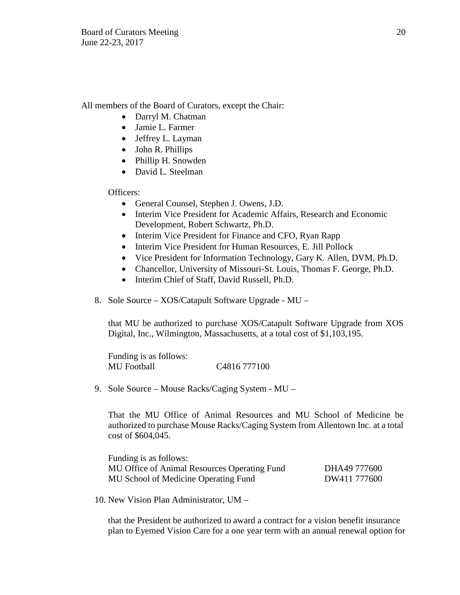All members of the Board of Curators, except the Chair:

- Darryl M. Chatman
- Jamie L. Farmer
- Jeffrey L. Layman
- John R. Phillips
- Phillip H. Snowden
- David L. Steelman

Officers:

- General Counsel, Stephen J. Owens, J.D.
- Interim Vice President for Academic Affairs, Research and Economic Development, Robert Schwartz, Ph.D.
- Interim Vice President for Finance and CFO, Ryan Rapp
- Interim Vice President for Human Resources, E. Jill Pollock
- Vice President for Information Technology, Gary K. Allen, DVM, Ph.D.
- Chancellor, University of Missouri-St. Louis, Thomas F. George, Ph.D.
- Interim Chief of Staff, David Russell, Ph.D.
- 8. Sole Source XOS/Catapult Software Upgrade MU –

that MU be authorized to purchase XOS/Catapult Software Upgrade from XOS Digital, Inc., Wilmington, Massachusetts, at a total cost of \$1,103,195.

Funding is as follows: MU Football C4816 777100

9. Sole Source – Mouse Racks/Caging System - MU –

That the MU Office of Animal Resources and MU School of Medicine be authorized to purchase Mouse Racks/Caging System from Allentown Inc. at a total cost of \$604,045.

Funding is as follows: MU Office of Animal Resources Operating Fund DHA49 777600 MU School of Medicine Operating Fund DW411 777600

10. New Vision Plan Administrator, UM –

that the President be authorized to award a contract for a vision benefit insurance plan to Eyemed Vision Care for a one year term with an annual renewal option for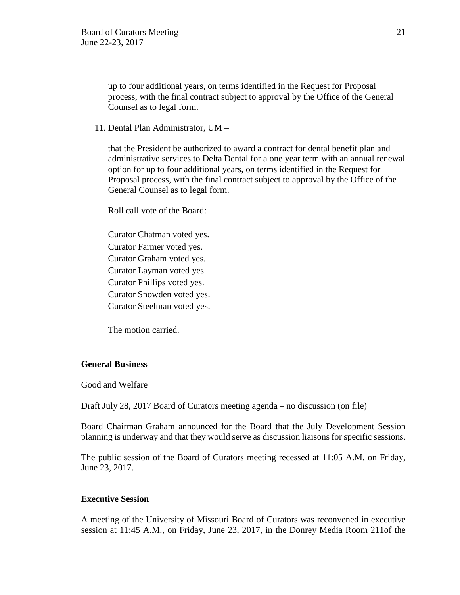up to four additional years, on terms identified in the Request for Proposal process, with the final contract subject to approval by the Office of the General Counsel as to legal form.

11. Dental Plan Administrator, UM –

that the President be authorized to award a contract for dental benefit plan and administrative services to Delta Dental for a one year term with an annual renewal option for up to four additional years, on terms identified in the Request for Proposal process, with the final contract subject to approval by the Office of the General Counsel as to legal form.

Roll call vote of the Board:

Curator Chatman voted yes. Curator Farmer voted yes. Curator Graham voted yes. Curator Layman voted yes. Curator Phillips voted yes. Curator Snowden voted yes. Curator Steelman voted yes.

The motion carried.

# **General Business**

#### Good and Welfare

Draft July 28, 2017 Board of Curators meeting agenda – no discussion (on file)

Board Chairman Graham announced for the Board that the July Development Session planning is underway and that they would serve as discussion liaisons for specific sessions.

The public session of the Board of Curators meeting recessed at 11:05 A.M. on Friday, June 23, 2017.

### **Executive Session**

A meeting of the University of Missouri Board of Curators was reconvened in executive session at 11:45 A.M., on Friday, June 23, 2017, in the Donrey Media Room 211of the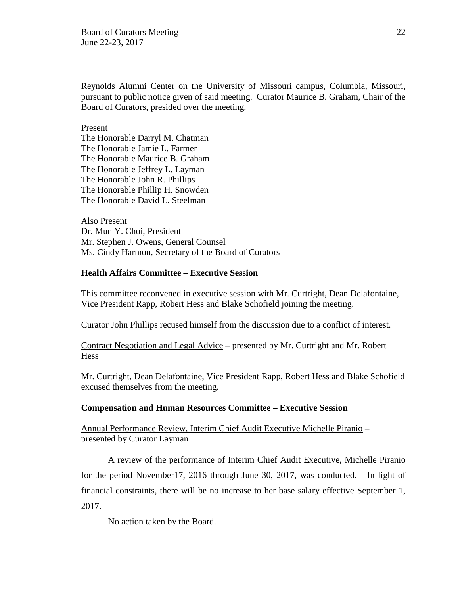Board of Curators Meeting 22 June 22-23, 2017

Reynolds Alumni Center on the University of Missouri campus, Columbia, Missouri, pursuant to public notice given of said meeting. Curator Maurice B. Graham, Chair of the Board of Curators, presided over the meeting.

#### Present

The Honorable Darryl M. Chatman The Honorable Jamie L. Farmer The Honorable Maurice B. Graham The Honorable Jeffrey L. Layman The Honorable John R. Phillips The Honorable Phillip H. Snowden The Honorable David L. Steelman

Also Present Dr. Mun Y. Choi, President Mr. Stephen J. Owens, General Counsel Ms. Cindy Harmon, Secretary of the Board of Curators

# **Health Affairs Committee – Executive Session**

This committee reconvened in executive session with Mr. Curtright, Dean Delafontaine, Vice President Rapp, Robert Hess and Blake Schofield joining the meeting.

Curator John Phillips recused himself from the discussion due to a conflict of interest.

Contract Negotiation and Legal Advice – presented by Mr. Curtright and Mr. Robert **Hess** 

Mr. Curtright, Dean Delafontaine, Vice President Rapp, Robert Hess and Blake Schofield excused themselves from the meeting.

#### **Compensation and Human Resources Committee – Executive Session**

Annual Performance Review, Interim Chief Audit Executive Michelle Piranio – presented by Curator Layman

A review of the performance of Interim Chief Audit Executive, Michelle Piranio for the period November17, 2016 through June 30, 2017, was conducted. In light of financial constraints, there will be no increase to her base salary effective September 1, 2017.

No action taken by the Board.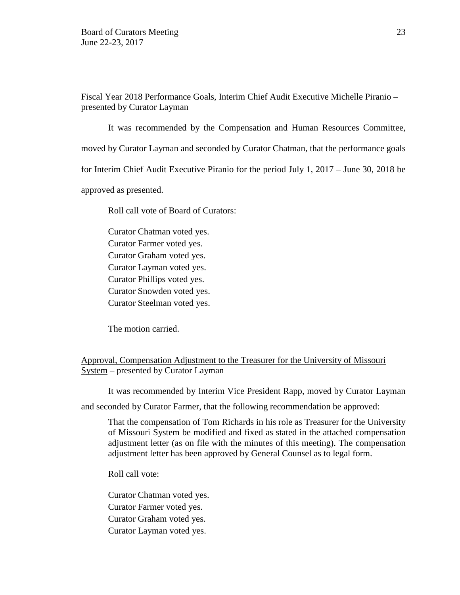Fiscal Year 2018 Performance Goals, Interim Chief Audit Executive Michelle Piranio – presented by Curator Layman

It was recommended by the Compensation and Human Resources Committee, moved by Curator Layman and seconded by Curator Chatman, that the performance goals for Interim Chief Audit Executive Piranio for the period July 1, 2017 – June 30, 2018 be approved as presented.

Roll call vote of Board of Curators:

Curator Chatman voted yes. Curator Farmer voted yes. Curator Graham voted yes. Curator Layman voted yes. Curator Phillips voted yes. Curator Snowden voted yes. Curator Steelman voted yes.

The motion carried.

# Approval, Compensation Adjustment to the Treasurer for the University of Missouri System – presented by Curator Layman

It was recommended by Interim Vice President Rapp, moved by Curator Layman and seconded by Curator Farmer, that the following recommendation be approved:

That the compensation of Tom Richards in his role as Treasurer for the University of Missouri System be modified and fixed as stated in the attached compensation adjustment letter (as on file with the minutes of this meeting). The compensation adjustment letter has been approved by General Counsel as to legal form.

Roll call vote:

Curator Chatman voted yes. Curator Farmer voted yes. Curator Graham voted yes. Curator Layman voted yes.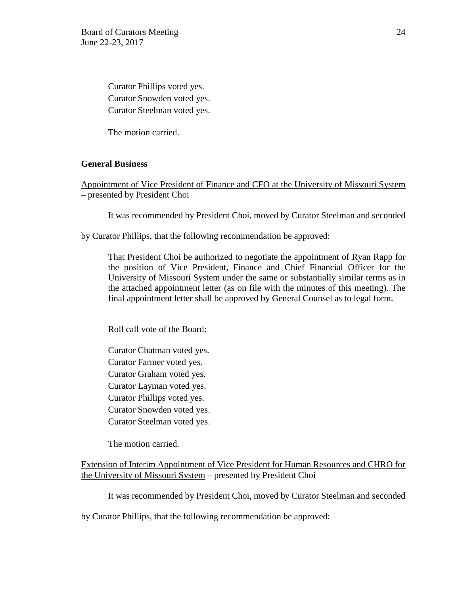Curator Phillips voted yes. Curator Snowden voted yes. Curator Steelman voted yes.

The motion carried.

## **General Business**

Appointment of Vice President of Finance and CFO at the University of Missouri System – presented by President Choi

It was recommended by President Choi, moved by Curator Steelman and seconded

by Curator Phillips, that the following recommendation be approved:

That President Choi be authorized to negotiate the appointment of Ryan Rapp for the position of Vice President, Finance and Chief Financial Officer for the University of Missouri System under the same or substantially similar terms as in the attached appointment letter (as on file with the minutes of this meeting). The final appointment letter shall be approved by General Counsel as to legal form.

Roll call vote of the Board:

Curator Chatman voted yes. Curator Farmer voted yes. Curator Graham voted yes. Curator Layman voted yes. Curator Phillips voted yes. Curator Snowden voted yes. Curator Steelman voted yes.

The motion carried.

Extension of Interim Appointment of Vice President for Human Resources and CHRO for the University of Missouri System – presented by President Choi

It was recommended by President Choi, moved by Curator Steelman and seconded

by Curator Phillips, that the following recommendation be approved: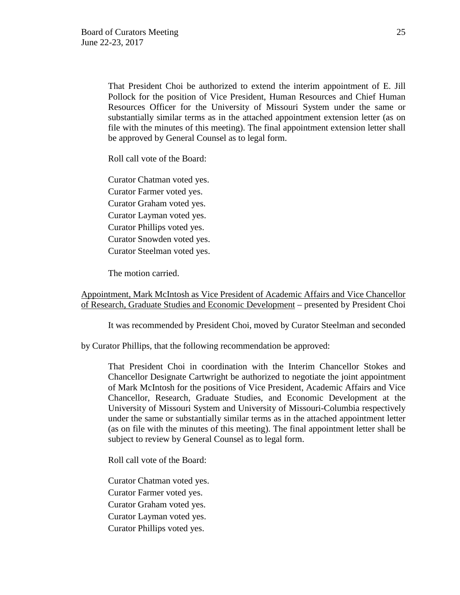That President Choi be authorized to extend the interim appointment of E. Jill Pollock for the position of Vice President, Human Resources and Chief Human Resources Officer for the University of Missouri System under the same or substantially similar terms as in the attached appointment extension letter (as on file with the minutes of this meeting). The final appointment extension letter shall be approved by General Counsel as to legal form.

Roll call vote of the Board:

Curator Chatman voted yes. Curator Farmer voted yes. Curator Graham voted yes. Curator Layman voted yes. Curator Phillips voted yes. Curator Snowden voted yes. Curator Steelman voted yes.

The motion carried.

Appointment, Mark McIntosh as Vice President of Academic Affairs and Vice Chancellor of Research, Graduate Studies and Economic Development – presented by President Choi

It was recommended by President Choi, moved by Curator Steelman and seconded

by Curator Phillips, that the following recommendation be approved:

That President Choi in coordination with the Interim Chancellor Stokes and Chancellor Designate Cartwright be authorized to negotiate the joint appointment of Mark McIntosh for the positions of Vice President, Academic Affairs and Vice Chancellor, Research, Graduate Studies, and Economic Development at the University of Missouri System and University of Missouri-Columbia respectively under the same or substantially similar terms as in the attached appointment letter (as on file with the minutes of this meeting). The final appointment letter shall be subject to review by General Counsel as to legal form.

Roll call vote of the Board:

Curator Chatman voted yes. Curator Farmer voted yes. Curator Graham voted yes. Curator Layman voted yes. Curator Phillips voted yes.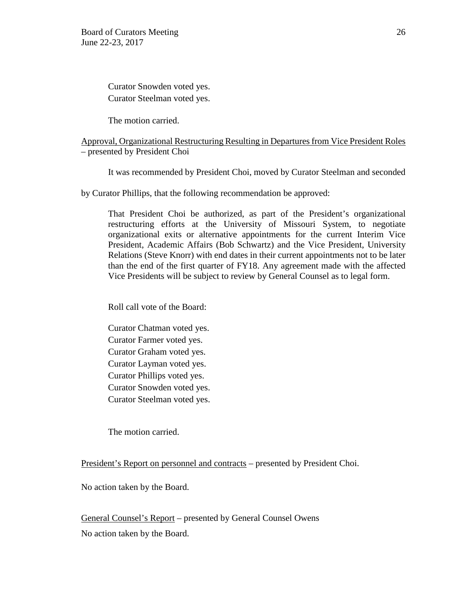Curator Snowden voted yes. Curator Steelman voted yes.

The motion carried.

## Approval, Organizational Restructuring Resulting in Departures from Vice President Roles – presented by President Choi

It was recommended by President Choi, moved by Curator Steelman and seconded

by Curator Phillips, that the following recommendation be approved:

That President Choi be authorized, as part of the President's organizational restructuring efforts at the University of Missouri System, to negotiate organizational exits or alternative appointments for the current Interim Vice President, Academic Affairs (Bob Schwartz) and the Vice President, University Relations (Steve Knorr) with end dates in their current appointments not to be later than the end of the first quarter of FY18. Any agreement made with the affected Vice Presidents will be subject to review by General Counsel as to legal form.

Roll call vote of the Board:

Curator Chatman voted yes. Curator Farmer voted yes. Curator Graham voted yes. Curator Layman voted yes. Curator Phillips voted yes. Curator Snowden voted yes. Curator Steelman voted yes.

The motion carried.

President's Report on personnel and contracts – presented by President Choi.

No action taken by the Board.

General Counsel's Report – presented by General Counsel Owens No action taken by the Board.